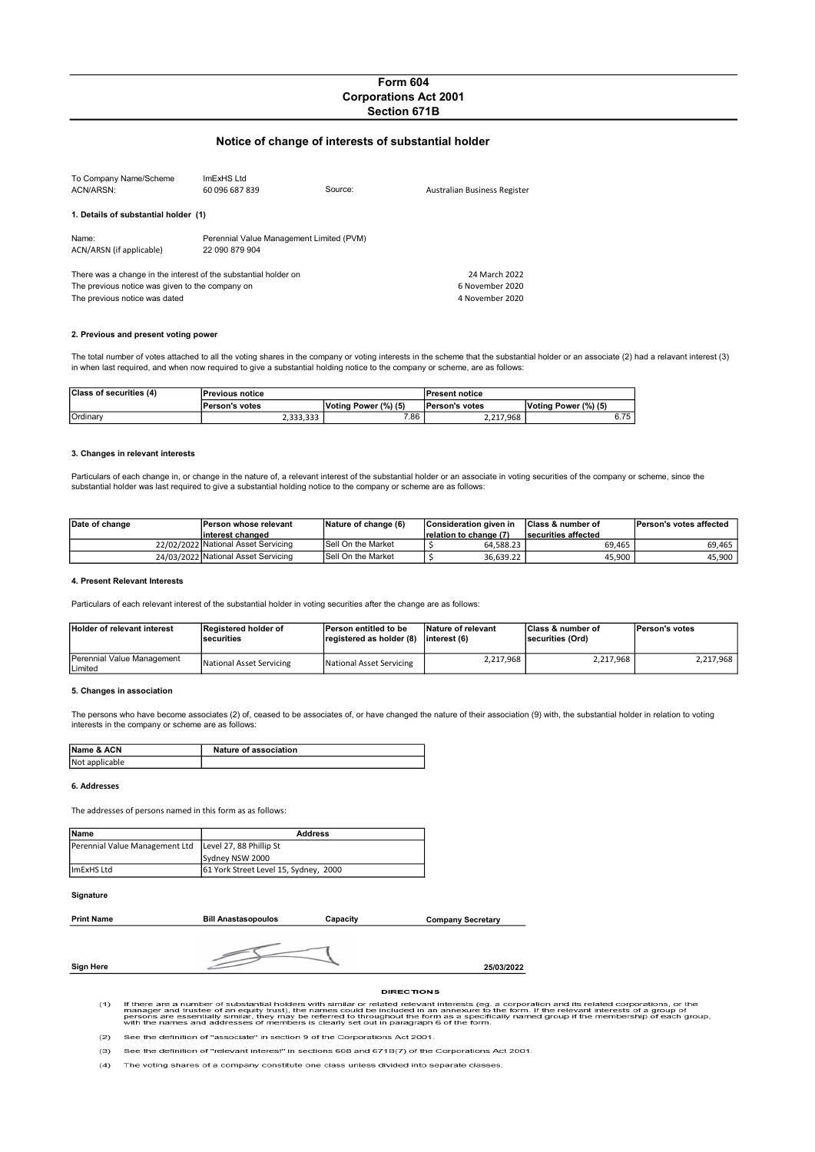# Form 604 Corporations Act 2001 Section 671B

# Notice of change of interests of substantial holder

| To Company Name/Scheme<br>ACN/ARSN:                                                                                                                 | ImExHS Ltd<br>60 096 687 839                               | Source: | Australian Business Register                        |
|-----------------------------------------------------------------------------------------------------------------------------------------------------|------------------------------------------------------------|---------|-----------------------------------------------------|
| 1. Details of substantial holder (1)                                                                                                                |                                                            |         |                                                     |
| Name:<br>ACN/ARSN (if applicable)                                                                                                                   | Perennial Value Management Limited (PVM)<br>22 090 879 904 |         |                                                     |
| There was a change in the interest of the substantial holder on<br>The previous notice was given to the company on<br>The previous notice was dated |                                                            |         | 24 March 2022<br>6 November 2020<br>4 November 2020 |

## 2. Previous and present voting power

The total number of votes attached to all the voting shares in the company or voting interests in the scheme that the substantial holder or an associate (2) had a relavant interest (3) in when last required, and when now required to give a substantial holding notice to the company or scheme, are as follows:

| Class of securities (4) | <b>Previous notice</b> |                      | <b>Present notice</b> |                      |
|-------------------------|------------------------|----------------------|-----------------------|----------------------|
|                         | <b>Person's votes</b>  | Voting Power (%) (5) | <b>Person's votes</b> | Voting Power (%) (5) |
| Ordinary                | 2.333.333              | 7.86                 | 2.217.968             | 6.75                 |

### 3. Changes in relevant interests

Particulars of each change in, or change in the nature of, a relevant interest of the substantial holder or an associate in voting securities of the company or scheme, since the substantial holder was last required to give a substantial holding notice to the company or scheme are as follows:

| Date of change | <b>IPerson whose relevant</b>       | Nature of change (6)      | Consideration given in  | <b>Class &amp; number of</b> | Person's votes affected |
|----------------|-------------------------------------|---------------------------|-------------------------|------------------------------|-------------------------|
|                | linterest changed                   |                           | Irelation to change (7) | securities affected          |                         |
|                | 22/02/2022 National Asset Servicing | <b>Sell On the Market</b> | 64.588.23               | 69.465                       | 69.465                  |
|                | 24/03/2022 National Asset Servicing | <b>Sell On the Market</b> | 36.639.22               | 45.900                       | 45,900                  |

### 4. Present Relevant Interests

Particulars of each relevant interest of the substantial holder in voting securities after the change are as follows:

| <b>Holder of relevant interest</b>           | Registered holder of<br><b>Securities</b> | <b>Person entitled to be</b><br>registered as holder (8) | Nature of relevant<br>linterest (6) | <b>IClass &amp; number of</b><br>securities (Ord) | <b>Person's votes</b> |
|----------------------------------------------|-------------------------------------------|----------------------------------------------------------|-------------------------------------|---------------------------------------------------|-----------------------|
| <b>Perennial Value Management</b><br>Limited | National Asset Servicing                  | National Asset Servicing                                 | 2,217,968                           | 2,217,968                                         | 2.217.968             |

### 5. Changes in association

The persons who have become associates (2) of, ceased to be associates of, or have changed the nature of their association (9) with, the substantial holder in relation to voting interests in the company or scheme are as follows:

| Name & ACN     | Nature of association |
|----------------|-----------------------|
| Not applicable |                       |

## 6. Addresses

The addresses of persons named in this form as as follows:

| Name                                                     | <b>Address</b>                        |
|----------------------------------------------------------|---------------------------------------|
| Perennial Value Management Ltd   Level 27, 88 Phillip St |                                       |
|                                                          | Sydney NSW 2000                       |
| limExHS Ltd                                              | 61 York Street Level 15, Sydney, 2000 |
|                                                          |                                       |

# Signature

| <b>Print Name</b> | 3ill.<br>i Anastasopoulos<br>. | anacity | <b>Company Secretary</b> |
|-------------------|--------------------------------|---------|--------------------------|
|                   |                                |         |                          |

# Sign Here

### **DIRECTIONS**

25/03/2022

If there are a number of substantial holders with similar or related relevant interests (eg. a corporation and its related corporations, or the<br>manager and trustee of an equity trust), the names could be included in an ann  $(1)$ 

 $(2)$ See the definition of "associate" in section 9 of the Corporations Act 2001

 $(3)$ See the definition of "relevant interest" in sections 608 and 671B(7) of the Corporations Act 2001

 $(4)$ The voting shares of a company constitute one class unless divided into separate classes